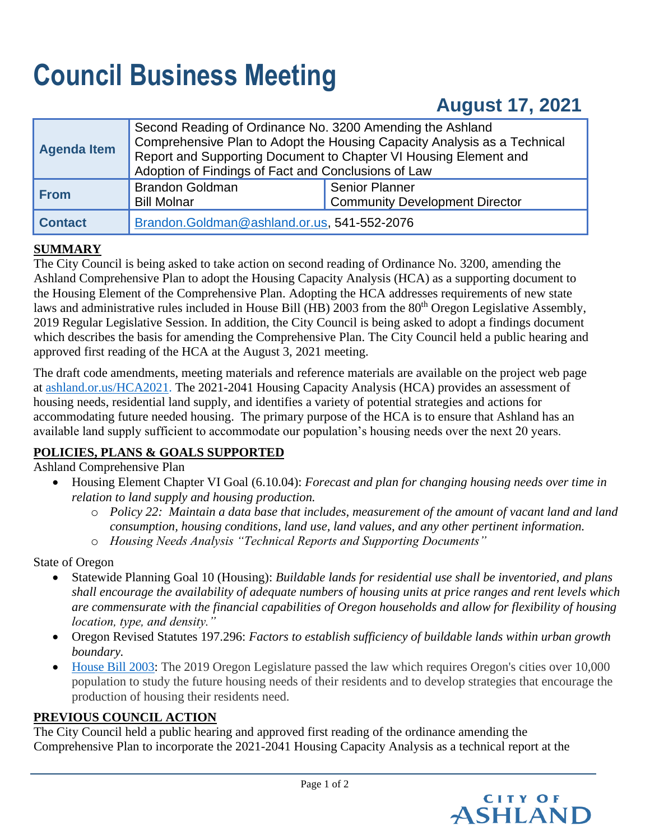# **Council Business Meeting**

# **August 17, 2021**

| <b>Agenda Item</b> | Second Reading of Ordinance No. 3200 Amending the Ashland<br>Comprehensive Plan to Adopt the Housing Capacity Analysis as a Technical<br>Report and Supporting Document to Chapter VI Housing Element and<br>Adoption of Findings of Fact and Conclusions of Law |                                                                |  |
|--------------------|------------------------------------------------------------------------------------------------------------------------------------------------------------------------------------------------------------------------------------------------------------------|----------------------------------------------------------------|--|
| <b>From</b>        | <b>Brandon Goldman</b><br><b>Bill Molnar</b>                                                                                                                                                                                                                     | <b>Senior Planner</b><br><b>Community Development Director</b> |  |
| <b>Contact</b>     | Brandon.Goldman@ashland.or.us, 541-552-2076                                                                                                                                                                                                                      |                                                                |  |

# **SUMMARY**

The City Council is being asked to take action on second reading of Ordinance No. 3200, amending the Ashland Comprehensive Plan to adopt the Housing Capacity Analysis (HCA) as a supporting document to the Housing Element of the Comprehensive Plan. Adopting the HCA addresses requirements of new state laws and administrative rules included in House Bill (HB) 2003 from the 80<sup>th</sup> Oregon Legislative Assembly, 2019 Regular Legislative Session. In addition, the City Council is being asked to adopt a findings document which describes the basis for amending the Comprehensive Plan. The City Council held a public hearing and approved first reading of the HCA at the August 3, 2021 meeting.

The draft code amendments, meeting materials and reference materials are available on the project web page at [ashland.or.us/HCA2021.](https://www.ashland.or.us/Page.asp?NavID=18087) The 2021-2041 Housing Capacity Analysis (HCA) provides an assessment of housing needs, residential land supply, and identifies a variety of potential strategies and actions for accommodating future needed housing. The primary purpose of the HCA is to ensure that Ashland has an available land supply sufficient to accommodate our population's housing needs over the next 20 years.

# **POLICIES, PLANS & GOALS SUPPORTED**

Ashland Comprehensive Plan

- Housing Element Chapter VI Goal (6.10.04): *Forecast and plan for changing housing needs over time in relation to land supply and housing production.* 
	- o *Policy 22: Maintain a data base that includes, measurement of the amount of vacant land and land consumption, housing conditions, land use, land values, and any other pertinent information.*
	- o *Housing Needs Analysis "Technical Reports and Supporting Documents"*

State of Oregon

- Statewide Planning Goal 10 (Housing): *Buildable lands for residential use shall be inventoried, and plans shall encourage the availability of adequate numbers of housing units at price ranges and rent levels which are commensurate with the financial capabilities of Oregon households and allow for flexibility of housing location, type, and density."*
- Oregon Revised Statutes 197.296: *Factors to establish sufficiency of buildable lands within urban growth boundary.*
- [House](https://www.oregon.gov/lcd/UP/Pages/Housing-Needs.aspx) Bill 2003: The 2019 Oregon Legislature passed the law which requires Oregon's cities over 10,000 population to study the future housing needs of their residents and to develop strategies that encourage the production of housing their residents need.

# **PREVIOUS COUNCIL ACTION**

The City Council held a public hearing and approved first reading of the ordinance amending the Comprehensive Plan to incorporate the 2021-2041 Housing Capacity Analysis as a technical report at the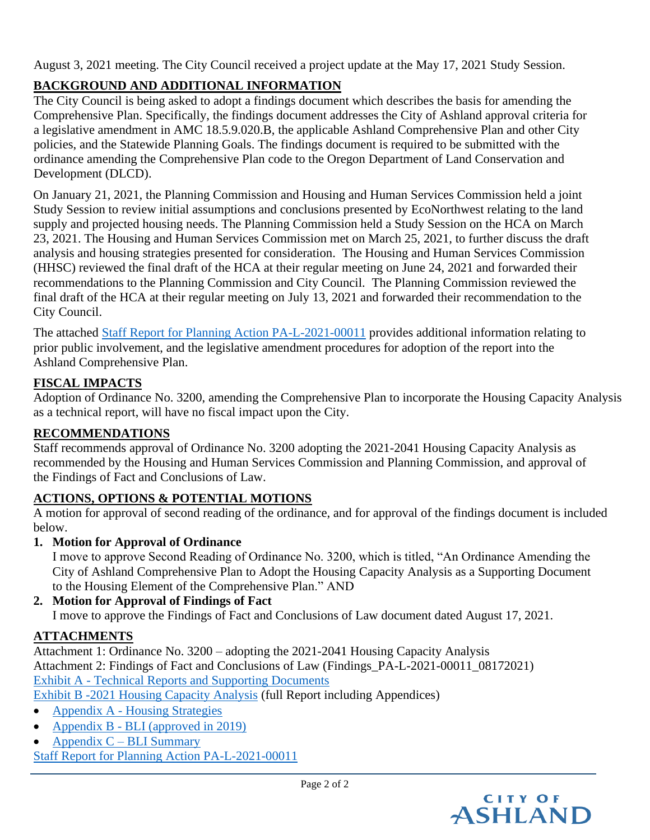August 3, 2021 meeting. The City Council received a project update at the May 17, 2021 Study Session.

# **BACKGROUND AND ADDITIONAL INFORMATION**

The City Council is being asked to adopt a findings document which describes the basis for amending the Comprehensive Plan. Specifically, the findings document addresses the City of Ashland approval criteria for a legislative amendment in AMC 18.5.9.020.B, the applicable Ashland Comprehensive Plan and other City policies, and the Statewide Planning Goals. The findings document is required to be submitted with the ordinance amending the Comprehensive Plan code to the Oregon Department of Land Conservation and Development (DLCD).

On January 21, 2021, the Planning Commission and Housing and Human Services Commission held a joint Study Session to review initial assumptions and conclusions presented by EcoNorthwest relating to the land supply and projected housing needs. The Planning Commission held a Study Session on the HCA on March 23, 2021. The Housing and Human Services Commission met on March 25, 2021, to further discuss the draft analysis and housing strategies presented for consideration. The Housing and Human Services Commission (HHSC) reviewed the final draft of the HCA at their regular meeting on June 24, 2021 and forwarded their recommendations to the Planning Commission and City Council. The Planning Commission reviewed the final draft of the HCA at their regular meeting on July 13, 2021 and forwarded their recommendation to the City Council.

The attached [Staff Report for Planning Action PA-L-2021-00011](https://www.ashland.or.us/SIB/files/PA_L_2021-00011_Staff_Report(1).pdf) provides additional information relating to prior public involvement, and the legislative amendment procedures for adoption of the report into the Ashland Comprehensive Plan.

# **FISCAL IMPACTS**

Adoption of Ordinance No. 3200, amending the Comprehensive Plan to incorporate the Housing Capacity Analysis as a technical report, will have no fiscal impact upon the City.

# **RECOMMENDATIONS**

Staff recommends approval of Ordinance No. 3200 adopting the 2021-2041 Housing Capacity Analysis as recommended by the Housing and Human Services Commission and Planning Commission, and approval of the Findings of Fact and Conclusions of Law.

# **ACTIONS, OPTIONS & POTENTIAL MOTIONS**

A motion for approval of second reading of the ordinance, and for approval of the findings document is included below.

**1. Motion for Approval of Ordinance**

I move to approve Second Reading of Ordinance No. 3200, which is titled, "An Ordinance Amending the City of Ashland Comprehensive Plan to Adopt the Housing Capacity Analysis as a Supporting Document to the Housing Element of the Comprehensive Plan." AND

#### **2. Motion for Approval of Findings of Fact** I move to approve the Findings of Fact and Conclusions of Law document dated August 17, 2021.

# **ATTACHMENTS**

Attachment 1: Ordinance No. 3200 – adopting the 2021-2041 Housing Capacity Analysis Attachment 2: Findings of Fact and Conclusions of Law (Findings\_PA-L-2021-00011\_08172021) Exhibit A - [Technical Reports and Supporting Documents](https://www.ashland.or.us/SIB/files/Exhibit_A_Technical_Support_Documents.pdf) Exhibit B [-2021 Housing Capacity Analysis](https://www.ashland.or.us/SIB/files/Exhibit_B_HCA_Report%26Appendicies.pdf) (full Report including Appendices)

- Appendix A [Housing Strategies](https://www.ashland.or.us/SIB/files/AppendixA_HCA_Housing_Stradegies.pdf)
- Appendix B [BLI \(approved in 2019\)](https://www.ashland.or.us/SIB/files/AppendixB_HCA_BLI.pdf)
- Appendix  $C BLI$  Summary

[Staff Report for Planning Action PA-L-2021-00011](https://www.ashland.or.us/SIB/files/PA_L_2021-00011_Staff_Report(1).pdf)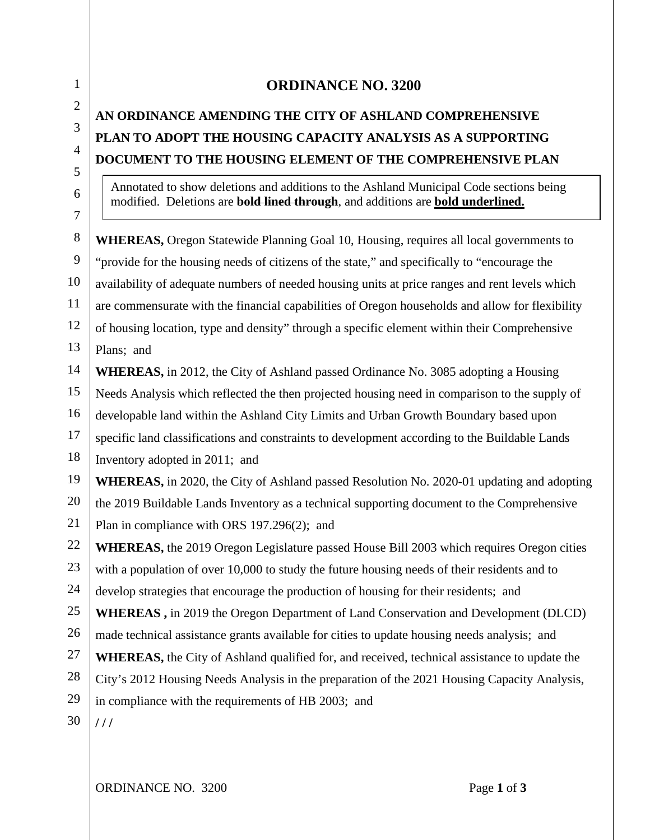# **ORDINANCE NO. 3200**

# **AN ORDINANCE AMENDING THE CITY OF ASHLAND COMPREHENSIVE PLAN TO ADOPT THE HOUSING CAPACITY ANALYSIS AS A SUPPORTING DOCUMENT TO THE HOUSING ELEMENT OF THE COMPREHENSIVE PLAN**

Annotated to show deletions and additions to the Ashland Municipal Code sections being modified. Deletions are **bold lined through**, and additions are **bold underlined.**

8 9 10 11 12 13 **WHEREAS,** Oregon Statewide Planning Goal 10, Housing, requires all local governments to "provide for the housing needs of citizens of the state," and specifically to "encourage the availability of adequate numbers of needed housing units at price ranges and rent levels which are commensurate with the financial capabilities of Oregon households and allow for flexibility of housing location, type and density" through a specific element within their Comprehensive Plans; and

14 **WHEREAS,** in 2012, the City of Ashland passed Ordinance No. 3085 adopting a Housing

15 Needs Analysis which reflected the then projected housing need in comparison to the supply of

16 developable land within the Ashland City Limits and Urban Growth Boundary based upon

17 specific land classifications and constraints to development according to the Buildable Lands

18 Inventory adopted in 2011; and

19 **WHEREAS,** in 2020, the City of Ashland passed Resolution No. 2020-01 updating and adopting

20 21 the 2019 Buildable Lands Inventory as a technical supporting document to the Comprehensive Plan in compliance with ORS 197.296(2); and

22 **WHEREAS,** the 2019 Oregon Legislature passed House Bill 2003 which requires Oregon cities

23 with a population of over 10,000 to study the future housing needs of their residents and to

24 develop strategies that encourage the production of housing for their residents; and

25 **WHEREAS ,** in 2019 the Oregon Department of Land Conservation and Development (DLCD)

26 made technical assistance grants available for cities to update housing needs analysis; and

- 27 **WHEREAS,** the City of Ashland qualified for, and received, technical assistance to update the
- 28 City's 2012 Housing Needs Analysis in the preparation of the 2021 Housing Capacity Analysis,

29 in compliance with the requirements of HB 2003; and

30 **/ / /** 

1

2

3

4

5

6 7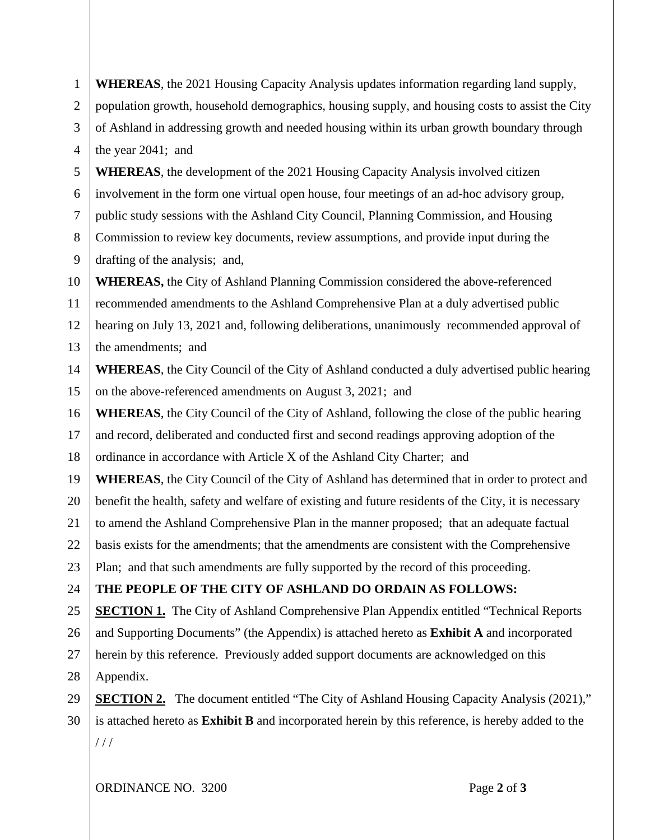| $\mathbf{1}$   | <b>WHEREAS</b> , the 2021 Housing Capacity Analysis updates information regarding land supply,       |  |  |  |  |
|----------------|------------------------------------------------------------------------------------------------------|--|--|--|--|
| $\overline{2}$ | population growth, household demographics, housing supply, and housing costs to assist the City      |  |  |  |  |
| 3              | of Ashland in addressing growth and needed housing within its urban growth boundary through          |  |  |  |  |
| $\overline{4}$ | the year 2041; and                                                                                   |  |  |  |  |
| 5              | <b>WHEREAS</b> , the development of the 2021 Housing Capacity Analysis involved citizen              |  |  |  |  |
| 6              | involvement in the form one virtual open house, four meetings of an ad-hoc advisory group,           |  |  |  |  |
| $\overline{7}$ | public study sessions with the Ashland City Council, Planning Commission, and Housing                |  |  |  |  |
| 8              | Commission to review key documents, review assumptions, and provide input during the                 |  |  |  |  |
| 9              | drafting of the analysis; and,                                                                       |  |  |  |  |
| 10             | <b>WHEREAS, the City of Ashland Planning Commission considered the above-referenced</b>              |  |  |  |  |
| 11             | recommended amendments to the Ashland Comprehensive Plan at a duly advertised public                 |  |  |  |  |
| 12             | hearing on July 13, 2021 and, following deliberations, unanimously recommended approval of           |  |  |  |  |
| 13             | the amendments; and                                                                                  |  |  |  |  |
| 14             | <b>WHEREAS</b> , the City Council of the City of Ashland conducted a duly advertised public hearing  |  |  |  |  |
| 15             | on the above-referenced amendments on August 3, 2021; and                                            |  |  |  |  |
| 16             | <b>WHEREAS</b> , the City Council of the City of Ashland, following the close of the public hearing  |  |  |  |  |
| 17             | and record, deliberated and conducted first and second readings approving adoption of the            |  |  |  |  |
| 18             | ordinance in accordance with Article X of the Ashland City Charter; and                              |  |  |  |  |
| 19             | <b>WHEREAS</b> , the City Council of the City of Ashland has determined that in order to protect and |  |  |  |  |
| 20             | benefit the health, safety and welfare of existing and future residents of the City, it is necessary |  |  |  |  |
| 21             | to amend the Ashland Comprehensive Plan in the manner proposed; that an adequate factual             |  |  |  |  |
| 22             | basis exists for the amendments; that the amendments are consistent with the Comprehensive           |  |  |  |  |
| 23             | Plan; and that such amendments are fully supported by the record of this proceeding.                 |  |  |  |  |
| 24             | THE PEOPLE OF THE CITY OF ASHLAND DO ORDAIN AS FOLLOWS:                                              |  |  |  |  |
| 25             | <b>SECTION 1.</b> The City of Ashland Comprehensive Plan Appendix entitled "Technical Reports"       |  |  |  |  |
| 26             | and Supporting Documents" (the Appendix) is attached hereto as <b>Exhibit A</b> and incorporated     |  |  |  |  |
| 27             | herein by this reference. Previously added support documents are acknowledged on this                |  |  |  |  |
| 28             | Appendix.                                                                                            |  |  |  |  |
| 29             | <b>SECTION 2.</b> The document entitled "The City of Ashland Housing Capacity Analysis (2021),"      |  |  |  |  |
| 30             | is attached hereto as Exhibit B and incorporated herein by this reference, is hereby added to the    |  |  |  |  |
|                | 111                                                                                                  |  |  |  |  |
|                |                                                                                                      |  |  |  |  |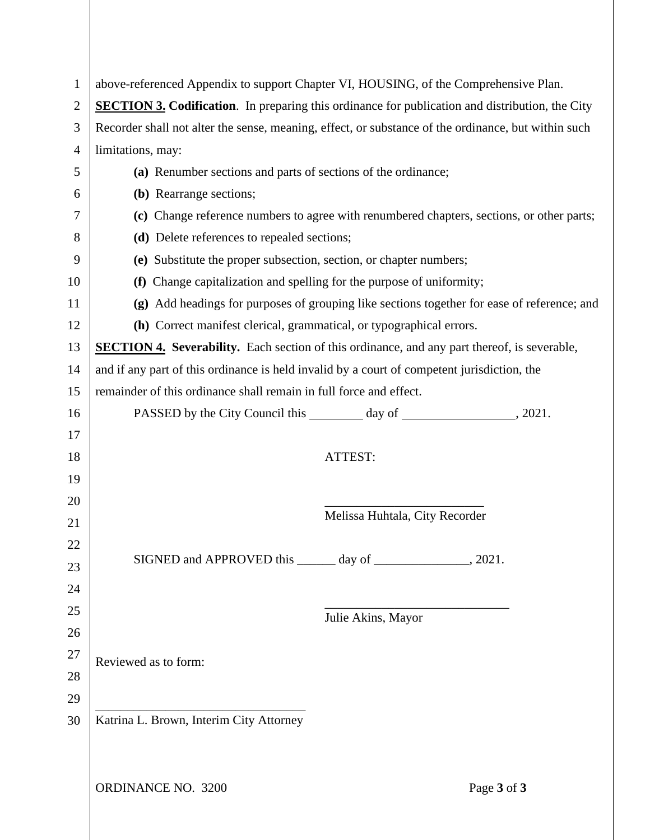| $\mathbf{1}$       | above-referenced Appendix to support Chapter VI, HOUSING, of the Comprehensive Plan.                   |                                |             |  |  |
|--------------------|--------------------------------------------------------------------------------------------------------|--------------------------------|-------------|--|--|
| $\overline{2}$     | <b>SECTION 3. Codification.</b> In preparing this ordinance for publication and distribution, the City |                                |             |  |  |
| 3                  | Recorder shall not alter the sense, meaning, effect, or substance of the ordinance, but within such    |                                |             |  |  |
| $\overline{4}$     | limitations, may:                                                                                      |                                |             |  |  |
| 5                  | (a) Renumber sections and parts of sections of the ordinance;                                          |                                |             |  |  |
| 6                  | (b) Rearrange sections;                                                                                |                                |             |  |  |
| 7                  | (c) Change reference numbers to agree with renumbered chapters, sections, or other parts;              |                                |             |  |  |
| 8                  | (d) Delete references to repealed sections;                                                            |                                |             |  |  |
| 9                  | (e) Substitute the proper subsection, section, or chapter numbers;                                     |                                |             |  |  |
| 10                 | (f) Change capitalization and spelling for the purpose of uniformity;                                  |                                |             |  |  |
| 11                 | (g) Add headings for purposes of grouping like sections together for ease of reference; and            |                                |             |  |  |
| 12                 | (h) Correct manifest clerical, grammatical, or typographical errors.                                   |                                |             |  |  |
| 13                 | <b>SECTION 4.</b> Severability. Each section of this ordinance, and any part thereof, is severable,    |                                |             |  |  |
| 14                 | and if any part of this ordinance is held invalid by a court of competent jurisdiction, the            |                                |             |  |  |
| 15                 | remainder of this ordinance shall remain in full force and effect.                                     |                                |             |  |  |
| 16                 |                                                                                                        |                                |             |  |  |
| 17                 |                                                                                                        |                                |             |  |  |
| 18                 |                                                                                                        | ATTEST:                        |             |  |  |
| 19                 |                                                                                                        |                                |             |  |  |
| 20                 |                                                                                                        |                                |             |  |  |
| 21                 |                                                                                                        | Melissa Huhtala, City Recorder |             |  |  |
| 22                 |                                                                                                        |                                |             |  |  |
| 23                 |                                                                                                        |                                |             |  |  |
| 24                 |                                                                                                        |                                |             |  |  |
| 25                 |                                                                                                        | Julie Akins, Mayor             |             |  |  |
| 26                 |                                                                                                        |                                |             |  |  |
| 27                 | Reviewed as to form:                                                                                   |                                |             |  |  |
| 28                 |                                                                                                        |                                |             |  |  |
| 29                 |                                                                                                        |                                |             |  |  |
| 30                 | Katrina L. Brown, Interim City Attorney                                                                |                                |             |  |  |
|                    |                                                                                                        |                                |             |  |  |
|                    |                                                                                                        |                                |             |  |  |
| ORDINANCE NO. 3200 |                                                                                                        |                                | Page 3 of 3 |  |  |
|                    |                                                                                                        |                                |             |  |  |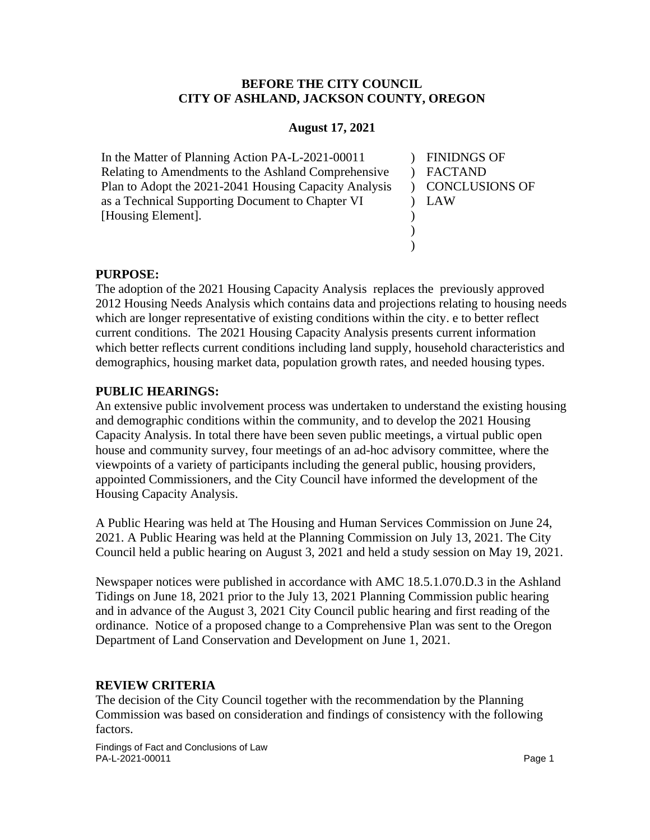#### **BEFORE THE CITY COUNCIL CITY OF ASHLAND, JACKSON COUNTY, OREGON**

#### **August 17, 2021**

In the Matter of Planning Action PA-L-2021-00011 Relating to Amendments to the Ashland Comprehensive Plan to Adopt the 2021-2041 Housing Capacity Analysis as a Technical Supporting Document to Chapter VI [Housing Element].

) FINIDNGS OF ) FACTAND ) CONCLUSIONS OF ) LAW  $\mathcal{L}$  $\mathcal{L}$ )

#### **PURPOSE:**

The adoption of the 2021 Housing Capacity Analysis replaces the previously approved 2012 Housing Needs Analysis which contains data and projections relating to housing needs which are longer representative of existing conditions within the city. e to better reflect current conditions. The 2021 Housing Capacity Analysis presents current information which better reflects current conditions including land supply, household characteristics and demographics, housing market data, population growth rates, and needed housing types.

#### **PUBLIC HEARINGS:**

An extensive public involvement process was undertaken to understand the existing housing and demographic conditions within the community, and to develop the 2021 Housing Capacity Analysis. In total there have been seven public meetings, a virtual public open house and community survey, four meetings of an ad-hoc advisory committee, where the viewpoints of a variety of participants including the general public, housing providers, appointed Commissioners, and the City Council have informed the development of the Housing Capacity Analysis.

A Public Hearing was held at The Housing and Human Services Commission on June 24, 2021. A Public Hearing was held at the Planning Commission on July 13, 2021. The City Council held a public hearing on August 3, 2021 and held a study session on May 19, 2021.

Newspaper notices were published in accordance with AMC 18.5.1.070.D.3 in the Ashland Tidings on June 18, 2021 prior to the July 13, 2021 Planning Commission public hearing and in advance of the August 3, 2021 City Council public hearing and first reading of the ordinance. Notice of a proposed change to a Comprehensive Plan was sent to the Oregon Department of Land Conservation and Development on June 1, 2021.

#### **REVIEW CRITERIA**

The decision of the City Council together with the recommendation by the Planning Commission was based on consideration and findings of consistency with the following factors.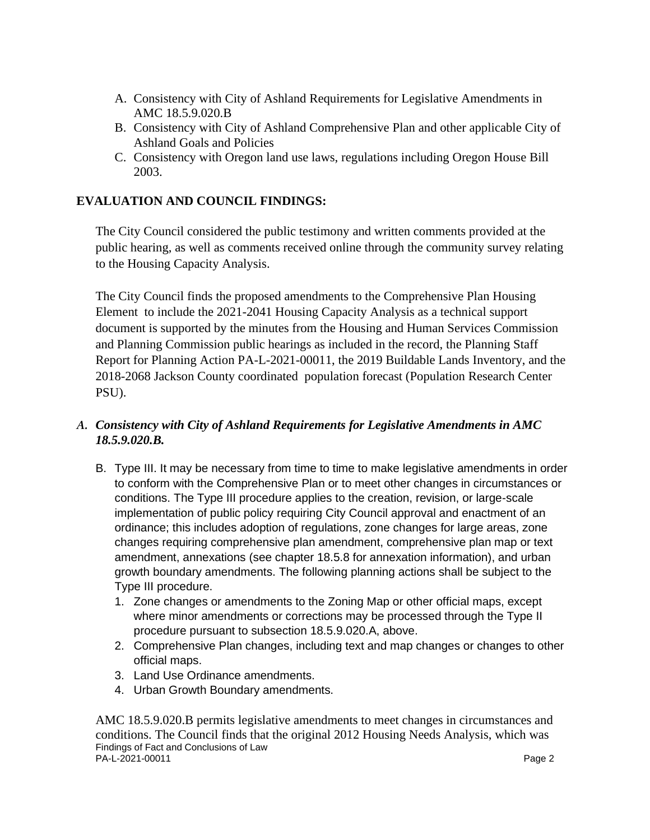- A. Consistency with City of Ashland Requirements for Legislative Amendments in AMC 18.5.9.020.B
- B. Consistency with City of Ashland Comprehensive Plan and other applicable City of Ashland Goals and Policies
- C. Consistency with Oregon land use laws, regulations including Oregon House Bill 2003.

# **EVALUATION AND COUNCIL FINDINGS:**

The City Council considered the public testimony and written comments provided at the public hearing, as well as comments received online through the community survey relating to the Housing Capacity Analysis.

The City Council finds the proposed amendments to the Comprehensive Plan Housing Element to include the 2021-2041 Housing Capacity Analysis as a technical support document is supported by the minutes from the Housing and Human Services Commission and Planning Commission public hearings as included in the record, the Planning Staff Report for Planning Action PA-L-2021-00011, the 2019 Buildable Lands Inventory, and the 2018-2068 Jackson County coordinated population forecast (Population Research Center PSU).

#### *A. Consistency with City of Ashland Requirements for Legislative Amendments in AMC 18.5.9.020.B.*

- B. Type III. It may be necessary from time to time to make legislative amendments in order to conform with the Comprehensive Plan or to meet other changes in circumstances or conditions. The Type III procedure applies to the creation, revision, or large-scale implementation of public policy requiring City Council approval and enactment of an ordinance; this includes adoption of regulations, zone changes for large areas, zone changes requiring comprehensive plan amendment, comprehensive plan map or text amendment, annexations (see chapter 18.5.8 for annexation information), and urban growth boundary amendments. The following planning actions shall be subject to the Type III procedure.
	- 1. Zone changes or amendments to the Zoning Map or other official maps, except where minor amendments or corrections may be processed through the Type II procedure pursuant to subsection 18.5.9.020.A, above.
	- 2. Comprehensive Plan changes, including text and map changes or changes to other official maps.
	- 3. Land Use Ordinance amendments.
	- 4. Urban Growth Boundary amendments.

Findings of Fact and Conclusions of Law PA-L-2021-00011 Page 2 AMC 18.5.9.020.B permits legislative amendments to meet changes in circumstances and conditions. The Council finds that the original 2012 Housing Needs Analysis, which was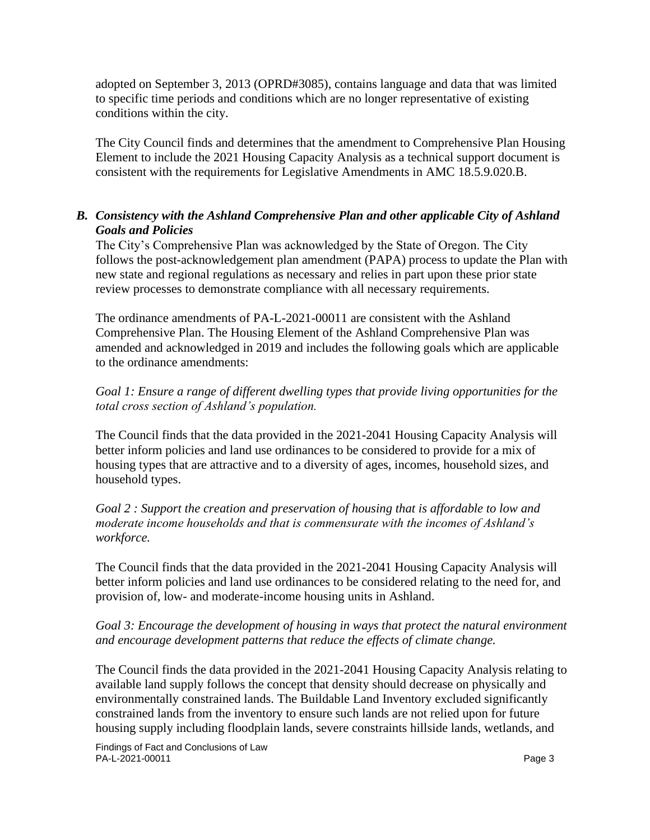adopted on September 3, 2013 (OPRD#3085), contains language and data that was limited to specific time periods and conditions which are no longer representative of existing conditions within the city.

The City Council finds and determines that the amendment to Comprehensive Plan Housing Element to include the 2021 Housing Capacity Analysis as a technical support document is consistent with the requirements for Legislative Amendments in AMC 18.5.9.020.B.

#### *B. Consistency with the Ashland Comprehensive Plan and other applicable City of Ashland Goals and Policies*

The City's Comprehensive Plan was acknowledged by the State of Oregon. The City follows the post-acknowledgement plan amendment (PAPA) process to update the Plan with new state and regional regulations as necessary and relies in part upon these prior state review processes to demonstrate compliance with all necessary requirements.

The ordinance amendments of PA-L-2021-00011 are consistent with the Ashland Comprehensive Plan. The Housing Element of the Ashland Comprehensive Plan was amended and acknowledged in 2019 and includes the following goals which are applicable to the ordinance amendments:

*Goal 1: Ensure a range of different dwelling types that provide living opportunities for the total cross section of Ashland's population.* 

The Council finds that the data provided in the 2021-2041 Housing Capacity Analysis will better inform policies and land use ordinances to be considered to provide for a mix of housing types that are attractive and to a diversity of ages, incomes, household sizes, and household types.

*Goal 2 : Support the creation and preservation of housing that is affordable to low and moderate income households and that is commensurate with the incomes of Ashland's workforce.*

The Council finds that the data provided in the 2021-2041 Housing Capacity Analysis will better inform policies and land use ordinances to be considered relating to the need for, and provision of, low- and moderate-income housing units in Ashland.

#### *Goal 3: Encourage the development of housing in ways that protect the natural environment and encourage development patterns that reduce the effects of climate change.*

The Council finds the data provided in the 2021-2041 Housing Capacity Analysis relating to available land supply follows the concept that density should decrease on physically and environmentally constrained lands. The Buildable Land Inventory excluded significantly constrained lands from the inventory to ensure such lands are not relied upon for future housing supply including floodplain lands, severe constraints hillside lands, wetlands, and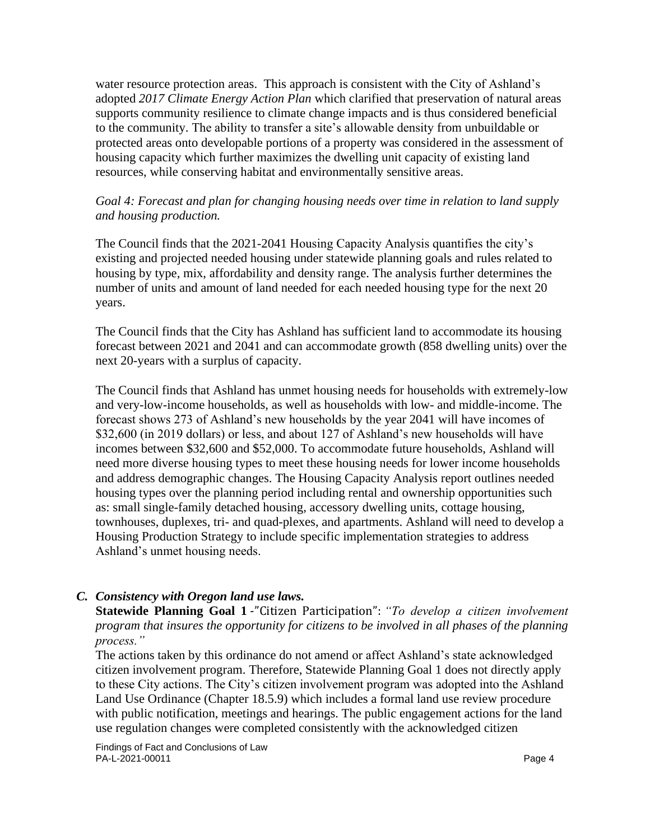water resource protection areas. This approach is consistent with the City of Ashland's adopted *2017 Climate Energy Action Plan* which clarified that preservation of natural areas supports community resilience to climate change impacts and is thus considered beneficial to the community. The ability to transfer a site's allowable density from unbuildable or protected areas onto developable portions of a property was considered in the assessment of housing capacity which further maximizes the dwelling unit capacity of existing land resources, while conserving habitat and environmentally sensitive areas.

#### *Goal 4: Forecast and plan for changing housing needs over time in relation to land supply and housing production.*

The Council finds that the 2021-2041 Housing Capacity Analysis quantifies the city's existing and projected needed housing under statewide planning goals and rules related to housing by type, mix, affordability and density range. The analysis further determines the number of units and amount of land needed for each needed housing type for the next 20 years.

The Council finds that the City has Ashland has sufficient land to accommodate its housing forecast between 2021 and 2041 and can accommodate growth (858 dwelling units) over the next 20-years with a surplus of capacity.

The Council finds that Ashland has unmet housing needs for households with extremely-low and very-low-income households, as well as households with low- and middle-income. The forecast shows 273 of Ashland's new households by the year 2041 will have incomes of \$32,600 (in 2019 dollars) or less, and about 127 of Ashland's new households will have incomes between \$32,600 and \$52,000. To accommodate future households, Ashland will need more diverse housing types to meet these housing needs for lower income households and address demographic changes. The Housing Capacity Analysis report outlines needed housing types over the planning period including rental and ownership opportunities such as: small single-family detached housing, accessory dwelling units, cottage housing, townhouses, duplexes, tri- and quad-plexes, and apartments. Ashland will need to develop a Housing Production Strategy to include specific implementation strategies to address Ashland's unmet housing needs.

#### *C. Consistency with Oregon land use laws.*

**Statewide Planning Goal 1** ‐"Citizen Participation": *"To develop a citizen involvement program that insures the opportunity for citizens to be involved in all phases of the planning process."*

The actions taken by this ordinance do not amend or affect Ashland's state acknowledged citizen involvement program. Therefore, Statewide Planning Goal 1 does not directly apply to these City actions. The City's citizen involvement program was adopted into the Ashland Land Use Ordinance (Chapter 18.5.9) which includes a formal land use review procedure with public notification, meetings and hearings. The public engagement actions for the land use regulation changes were completed consistently with the acknowledged citizen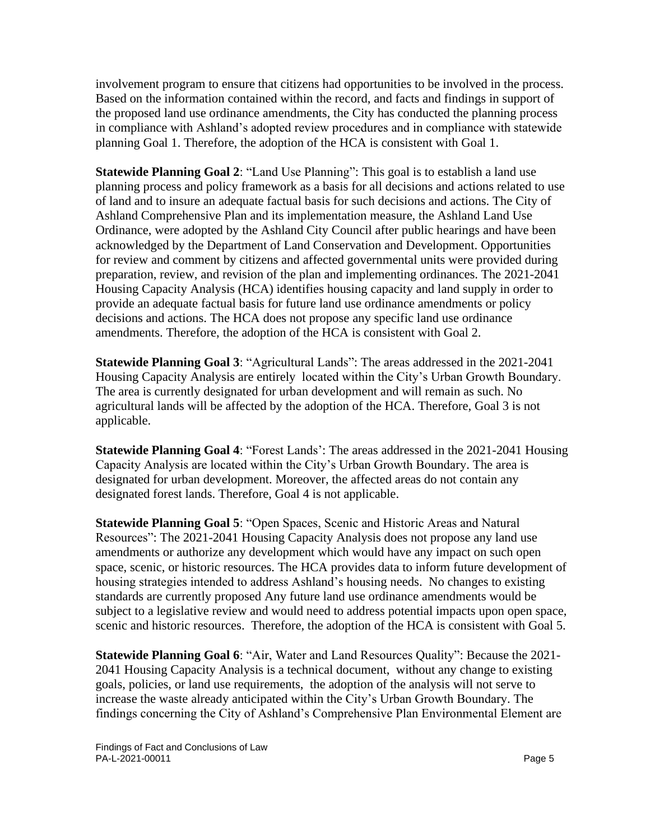involvement program to ensure that citizens had opportunities to be involved in the process. Based on the information contained within the record, and facts and findings in support of the proposed land use ordinance amendments, the City has conducted the planning process in compliance with Ashland's adopted review procedures and in compliance with statewide planning Goal 1. Therefore, the adoption of the HCA is consistent with Goal 1.

**Statewide Planning Goal 2**: "Land Use Planning": This goal is to establish a land use planning process and policy framework as a basis for all decisions and actions related to use of land and to insure an adequate factual basis for such decisions and actions. The City of Ashland Comprehensive Plan and its implementation measure, the Ashland Land Use Ordinance, were adopted by the Ashland City Council after public hearings and have been acknowledged by the Department of Land Conservation and Development. Opportunities for review and comment by citizens and affected governmental units were provided during preparation, review, and revision of the plan and implementing ordinances. The 2021-2041 Housing Capacity Analysis (HCA) identifies housing capacity and land supply in order to provide an adequate factual basis for future land use ordinance amendments or policy decisions and actions. The HCA does not propose any specific land use ordinance amendments. Therefore, the adoption of the HCA is consistent with Goal 2.

**Statewide Planning Goal 3**: "Agricultural Lands": The areas addressed in the 2021-2041 Housing Capacity Analysis are entirely located within the City's Urban Growth Boundary. The area is currently designated for urban development and will remain as such. No agricultural lands will be affected by the adoption of the HCA. Therefore, Goal 3 is not applicable.

**Statewide Planning Goal 4**: "Forest Lands': The areas addressed in the 2021-2041 Housing Capacity Analysis are located within the City's Urban Growth Boundary. The area is designated for urban development. Moreover, the affected areas do not contain any designated forest lands. Therefore, Goal 4 is not applicable.

**Statewide Planning Goal 5**: "Open Spaces, Scenic and Historic Areas and Natural Resources": The 2021-2041 Housing Capacity Analysis does not propose any land use amendments or authorize any development which would have any impact on such open space, scenic, or historic resources. The HCA provides data to inform future development of housing strategies intended to address Ashland's housing needs. No changes to existing standards are currently proposed Any future land use ordinance amendments would be subject to a legislative review and would need to address potential impacts upon open space, scenic and historic resources. Therefore, the adoption of the HCA is consistent with Goal 5.

**Statewide Planning Goal 6**: "Air, Water and Land Resources Quality": Because the 2021- 2041 Housing Capacity Analysis is a technical document, without any change to existing goals, policies, or land use requirements, the adoption of the analysis will not serve to increase the waste already anticipated within the City's Urban Growth Boundary. The findings concerning the City of Ashland's Comprehensive Plan Environmental Element are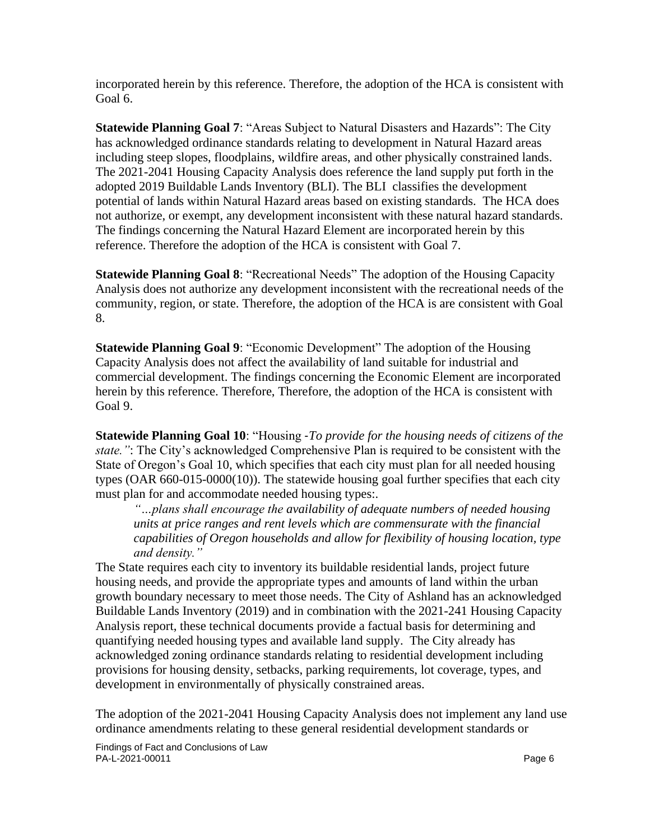incorporated herein by this reference. Therefore, the adoption of the HCA is consistent with Goal 6.

**Statewide Planning Goal 7**: "Areas Subject to Natural Disasters and Hazards": The City has acknowledged ordinance standards relating to development in Natural Hazard areas including steep slopes, floodplains, wildfire areas, and other physically constrained lands. The 2021-2041 Housing Capacity Analysis does reference the land supply put forth in the adopted 2019 Buildable Lands Inventory (BLI). The BLI classifies the development potential of lands within Natural Hazard areas based on existing standards. The HCA does not authorize, or exempt, any development inconsistent with these natural hazard standards. The findings concerning the Natural Hazard Element are incorporated herein by this reference. Therefore the adoption of the HCA is consistent with Goal 7.

**Statewide Planning Goal 8**: "Recreational Needs" The adoption of the Housing Capacity Analysis does not authorize any development inconsistent with the recreational needs of the community, region, or state. Therefore, the adoption of the HCA is are consistent with Goal 8.

**Statewide Planning Goal 9**: "Economic Development" The adoption of the Housing Capacity Analysis does not affect the availability of land suitable for industrial and commercial development. The findings concerning the Economic Element are incorporated herein by this reference. Therefore, Therefore, the adoption of the HCA is consistent with Goal 9.

**Statewide Planning Goal 10**: "Housing ‐*To provide for the housing needs of citizens of the state."*: The City's acknowledged Comprehensive Plan is required to be consistent with the State of Oregon's Goal 10, which specifies that each city must plan for all needed housing types (OAR 660-015-0000(10)). The statewide housing goal further specifies that each city must plan for and accommodate needed housing types:.

*"…plans shall encourage the availability of adequate numbers of needed housing units at price ranges and rent levels which are commensurate with the financial capabilities of Oregon households and allow for flexibility of housing location, type and density."*

The State requires each city to inventory its buildable residential lands, project future housing needs, and provide the appropriate types and amounts of land within the urban growth boundary necessary to meet those needs. The City of Ashland has an acknowledged Buildable Lands Inventory (2019) and in combination with the 2021-241 Housing Capacity Analysis report, these technical documents provide a factual basis for determining and quantifying needed housing types and available land supply. The City already has acknowledged zoning ordinance standards relating to residential development including provisions for housing density, setbacks, parking requirements, lot coverage, types, and development in environmentally of physically constrained areas.

The adoption of the 2021-2041 Housing Capacity Analysis does not implement any land use ordinance amendments relating to these general residential development standards or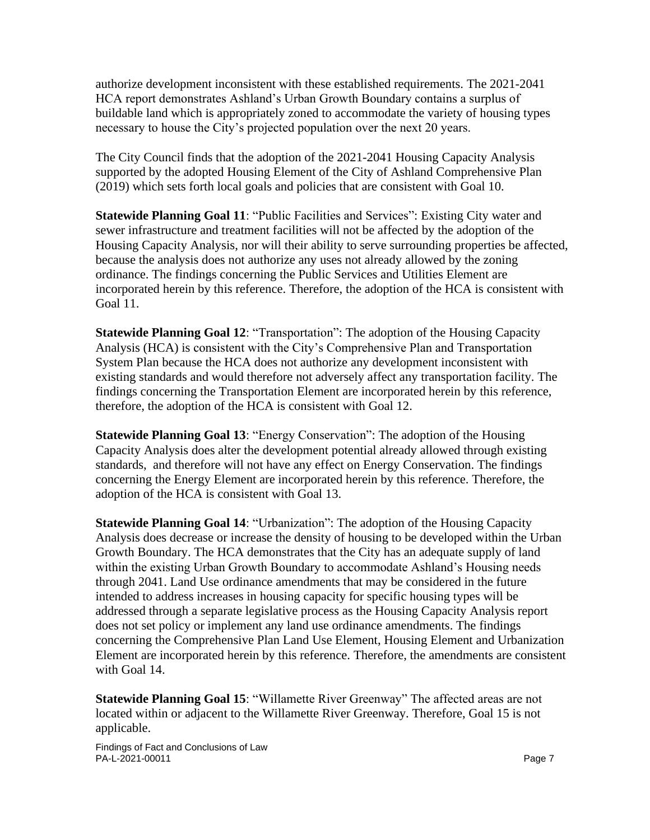authorize development inconsistent with these established requirements. The 2021-2041 HCA report demonstrates Ashland's Urban Growth Boundary contains a surplus of buildable land which is appropriately zoned to accommodate the variety of housing types necessary to house the City's projected population over the next 20 years.

The City Council finds that the adoption of the 2021-2041 Housing Capacity Analysis supported by the adopted Housing Element of the City of Ashland Comprehensive Plan (2019) which sets forth local goals and policies that are consistent with Goal 10.

**Statewide Planning Goal 11**: "Public Facilities and Services": Existing City water and sewer infrastructure and treatment facilities will not be affected by the adoption of the Housing Capacity Analysis, nor will their ability to serve surrounding properties be affected, because the analysis does not authorize any uses not already allowed by the zoning ordinance. The findings concerning the Public Services and Utilities Element are incorporated herein by this reference. Therefore, the adoption of the HCA is consistent with Goal 11.

**Statewide Planning Goal 12**: "Transportation": The adoption of the Housing Capacity Analysis (HCA) is consistent with the City's Comprehensive Plan and Transportation System Plan because the HCA does not authorize any development inconsistent with existing standards and would therefore not adversely affect any transportation facility. The findings concerning the Transportation Element are incorporated herein by this reference, therefore, the adoption of the HCA is consistent with Goal 12.

**Statewide Planning Goal 13**: "Energy Conservation": The adoption of the Housing Capacity Analysis does alter the development potential already allowed through existing standards, and therefore will not have any effect on Energy Conservation. The findings concerning the Energy Element are incorporated herein by this reference. Therefore, the adoption of the HCA is consistent with Goal 13.

**Statewide Planning Goal 14**: "Urbanization": The adoption of the Housing Capacity Analysis does decrease or increase the density of housing to be developed within the Urban Growth Boundary. The HCA demonstrates that the City has an adequate supply of land within the existing Urban Growth Boundary to accommodate Ashland's Housing needs through 2041. Land Use ordinance amendments that may be considered in the future intended to address increases in housing capacity for specific housing types will be addressed through a separate legislative process as the Housing Capacity Analysis report does not set policy or implement any land use ordinance amendments. The findings concerning the Comprehensive Plan Land Use Element, Housing Element and Urbanization Element are incorporated herein by this reference. Therefore, the amendments are consistent with Goal 14.

**Statewide Planning Goal 15**: "Willamette River Greenway" The affected areas are not located within or adjacent to the Willamette River Greenway. Therefore, Goal 15 is not applicable.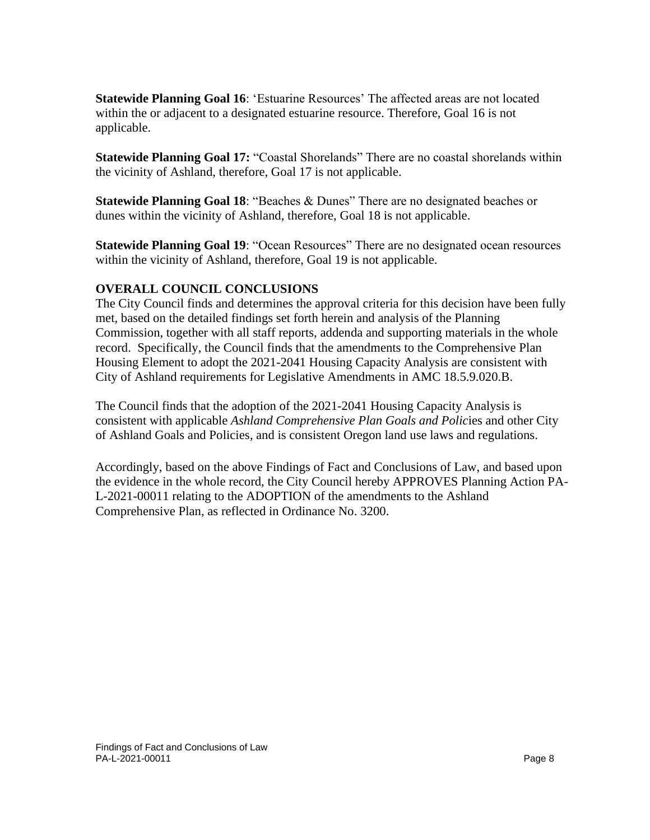**Statewide Planning Goal 16**: 'Estuarine Resources' The affected areas are not located within the or adjacent to a designated estuarine resource. Therefore, Goal 16 is not applicable.

**Statewide Planning Goal 17:** "Coastal Shorelands" There are no coastal shorelands within the vicinity of Ashland, therefore, Goal 17 is not applicable.

**Statewide Planning Goal 18**: "Beaches & Dunes" There are no designated beaches or dunes within the vicinity of Ashland, therefore, Goal 18 is not applicable.

**Statewide Planning Goal 19: "Ocean Resources" There are no designated ocean resources** within the vicinity of Ashland, therefore, Goal 19 is not applicable.

#### **OVERALL COUNCIL CONCLUSIONS**

The City Council finds and determines the approval criteria for this decision have been fully met, based on the detailed findings set forth herein and analysis of the Planning Commission, together with all staff reports, addenda and supporting materials in the whole record. Specifically, the Council finds that the amendments to the Comprehensive Plan Housing Element to adopt the 2021-2041 Housing Capacity Analysis are consistent with City of Ashland requirements for Legislative Amendments in AMC 18.5.9.020.B.

The Council finds that the adoption of the 2021-2041 Housing Capacity Analysis is consistent with applicable *Ashland Comprehensive Plan Goals and Polic*ies and other City of Ashland Goals and Policies*,* and is consistent Oregon land use laws and regulations.

Accordingly, based on the above Findings of Fact and Conclusions of Law, and based upon the evidence in the whole record, the City Council hereby APPROVES Planning Action PA-L-2021-00011 relating to the ADOPTION of the amendments to the Ashland Comprehensive Plan, as reflected in Ordinance No. 3200.